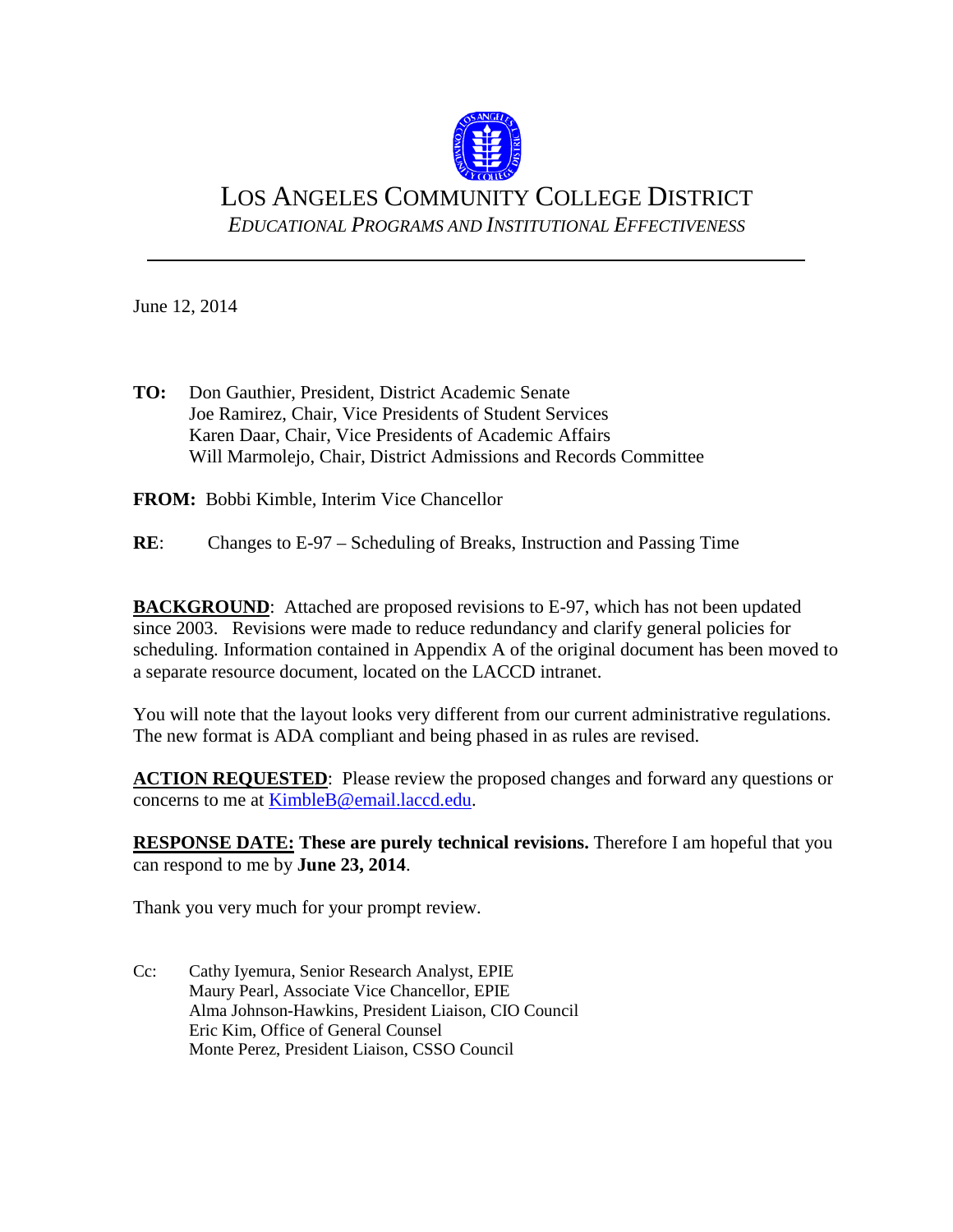

# LOS ANGELES COMMUNITY COLLEGE DISTRICT *EDUCATIONAL PROGRAMS AND INSTITUTIONAL EFFECTIVENESS*

June 12, 2014

**TO:** Don Gauthier, President, District Academic Senate Joe Ramirez, Chair, Vice Presidents of Student Services Karen Daar, Chair, Vice Presidents of Academic Affairs Will Marmolejo, Chair, District Admissions and Records Committee

**FROM:** Bobbi Kimble, Interim Vice Chancellor

**RE**: Changes to E-97 – Scheduling of Breaks, Instruction and Passing Time

**BACKGROUND**: Attached are proposed revisions to E-97, which has not been updated since 2003. Revisions were made to reduce redundancy and clarify general policies for scheduling. Information contained in Appendix A of the original document has been moved to a separate resource document, located on the LACCD intranet.

You will note that the layout looks very different from our current administrative regulations. The new format is ADA compliant and being phased in as rules are revised.

**ACTION REQUESTED**: Please review the proposed changes and forward any questions or concerns to me at [KimbleB@email.laccd.edu.](mailto:KimbleB@email.laccd.edu)

**RESPONSE DATE:** These are purely technical revisions. Therefore I am hopeful that you can respond to me by **June 23, 2014**.

Thank you very much for your prompt review.

Cc: Cathy Iyemura, Senior Research Analyst, EPIE Maury Pearl, Associate Vice Chancellor, EPIE Alma Johnson-Hawkins, President Liaison, CIO Council Eric Kim, Office of General Counsel Monte Perez, President Liaison, CSSO Council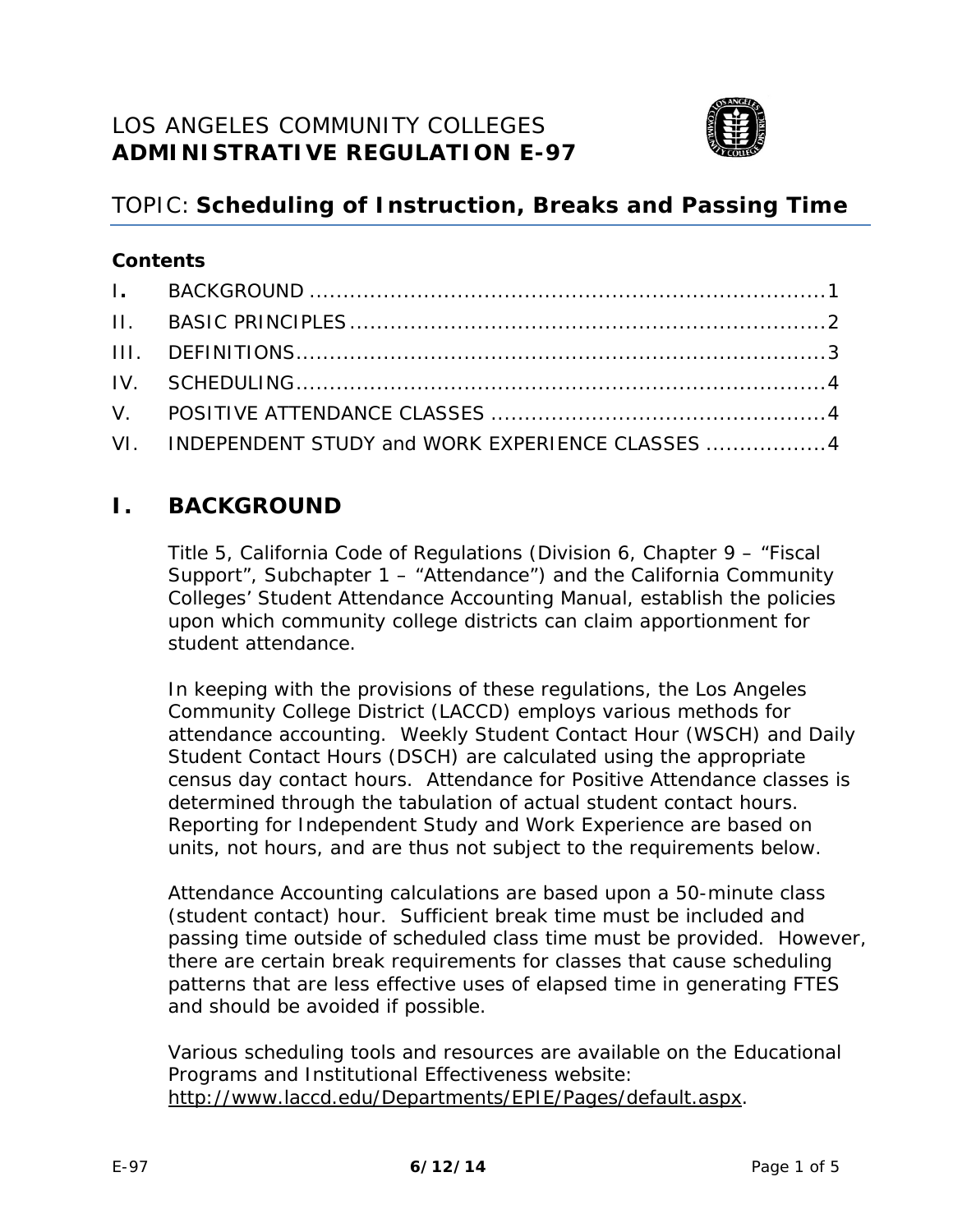

# TOPIC: **Scheduling of Instruction, Breaks and Passing Time**

### **Contents**

| VI. INDEPENDENT STUDY and WORK EXPERIENCE CLASSES  4 |
|------------------------------------------------------|

# <span id="page-1-0"></span>**I. BACKGROUND**

Title 5, *California Code of Regulations* (Division 6, Chapter 9 – "Fiscal Support", Subchapter 1 – "Attendance") and the California Community Colleges' *Student Attendance Accounting Manual*, establish the policies upon which community college districts can claim apportionment for student attendance.

In keeping with the provisions of these regulations, the Los Angeles Community College District (LACCD) employs various methods for attendance accounting. Weekly Student Contact Hour (WSCH) and Daily Student Contact Hours (DSCH) are calculated using the appropriate census day contact hours. Attendance for Positive Attendance classes is determined through the tabulation of actual student contact hours. Reporting for Independent Study and Work Experience are based on units, not hours, and are thus not subject to the requirements below.

Attendance Accounting calculations are based upon a 50-minute class (student contact) hour. Sufficient break time must be included and passing time outside of scheduled class time must be provided. However, there are certain break requirements for classes that cause scheduling patterns that are less effective uses of elapsed time in generating FTES and should be avoided if possible.

Various scheduling tools and resources are available on the Educational Programs and Institutional Effectiveness website: [http://www.laccd.edu/Departments/EPIE/Pages/default.aspx.](http://www.laccd.edu/Departments/EPIE/Pages/default.aspx)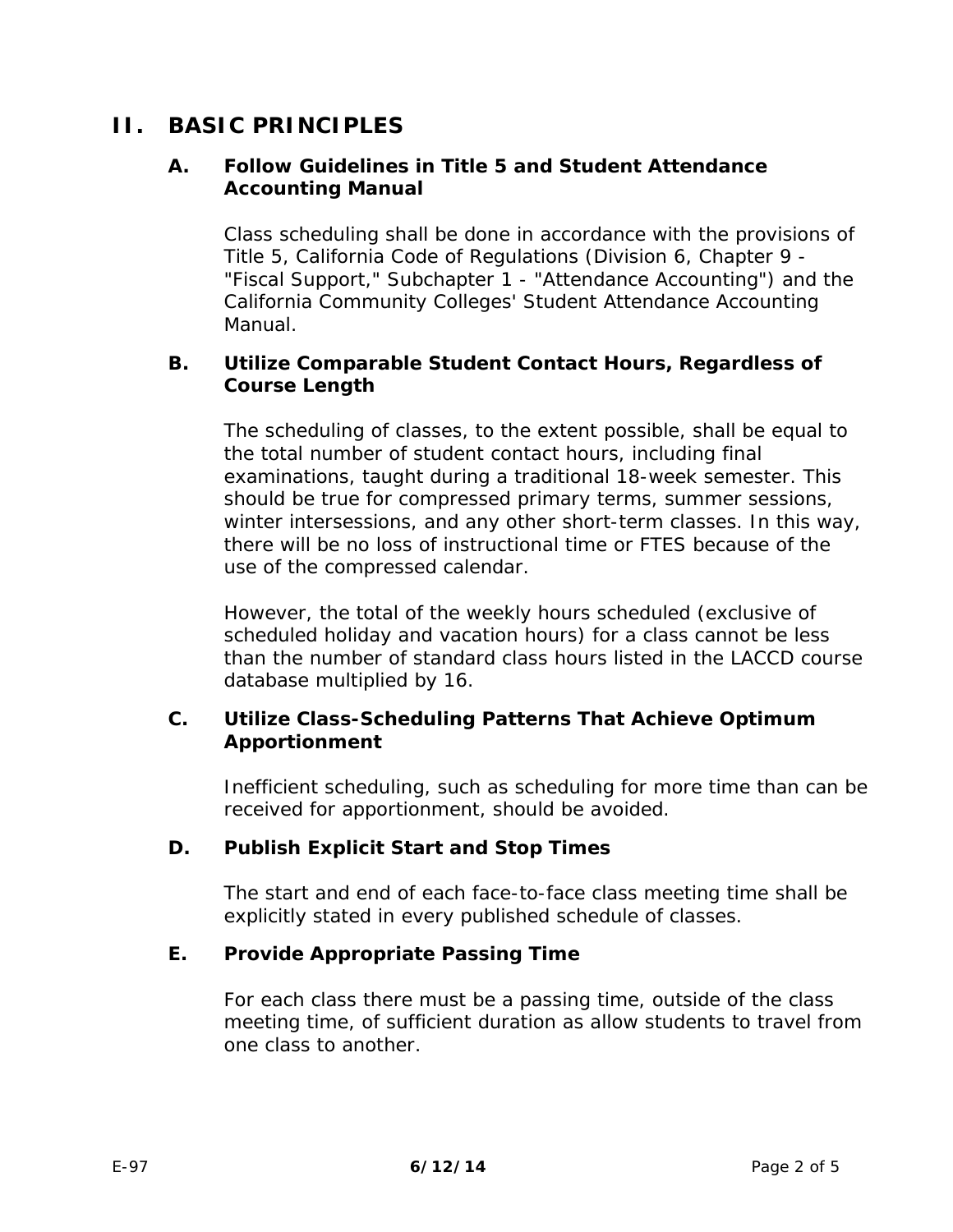## <span id="page-2-0"></span>**II. BASIC PRINCIPLES**

### **A. Follow Guidelines in Title 5 and Student Attendance Accounting Manual**

Class scheduling shall be done in accordance with the provisions of Title 5, California Code of Regulations (Division 6, Chapter 9 - "Fiscal Support," Subchapter 1 - "Attendance Accounting") and the California Community Colleges' *Student Attendance Accounting Manual*.

#### **B. Utilize Comparable Student Contact Hours, Regardless of Course Length**

The scheduling of classes, to the extent possible, shall be equal to the total number of student contact hours, including final examinations, taught during a traditional 18-week semester. This should be true for compressed primary terms, summer sessions, winter intersessions, and any other short-term classes. In this way, there will be no loss of instructional time or FTES because of the use of the compressed calendar.

However, the total of the weekly hours scheduled (exclusive of scheduled holiday and vacation hours) for a class cannot be less than the number of *standard class hours* listed in the LACCD course database multiplied by 16.

### **C. Utilize Class-Scheduling Patterns That Achieve Optimum Apportionment**

Inefficient scheduling, such as scheduling for more time than can be received for apportionment, should be avoided.

### **D. Publish Explicit Start and Stop Times**

The start and end of each face-to-face class meeting time shall be explicitly stated in every published schedule of classes.

### **E. Provide Appropriate Passing Time**

For each class there must be a *passing time*, outside of the class meeting time, of sufficient duration as allow students to travel from one class to another.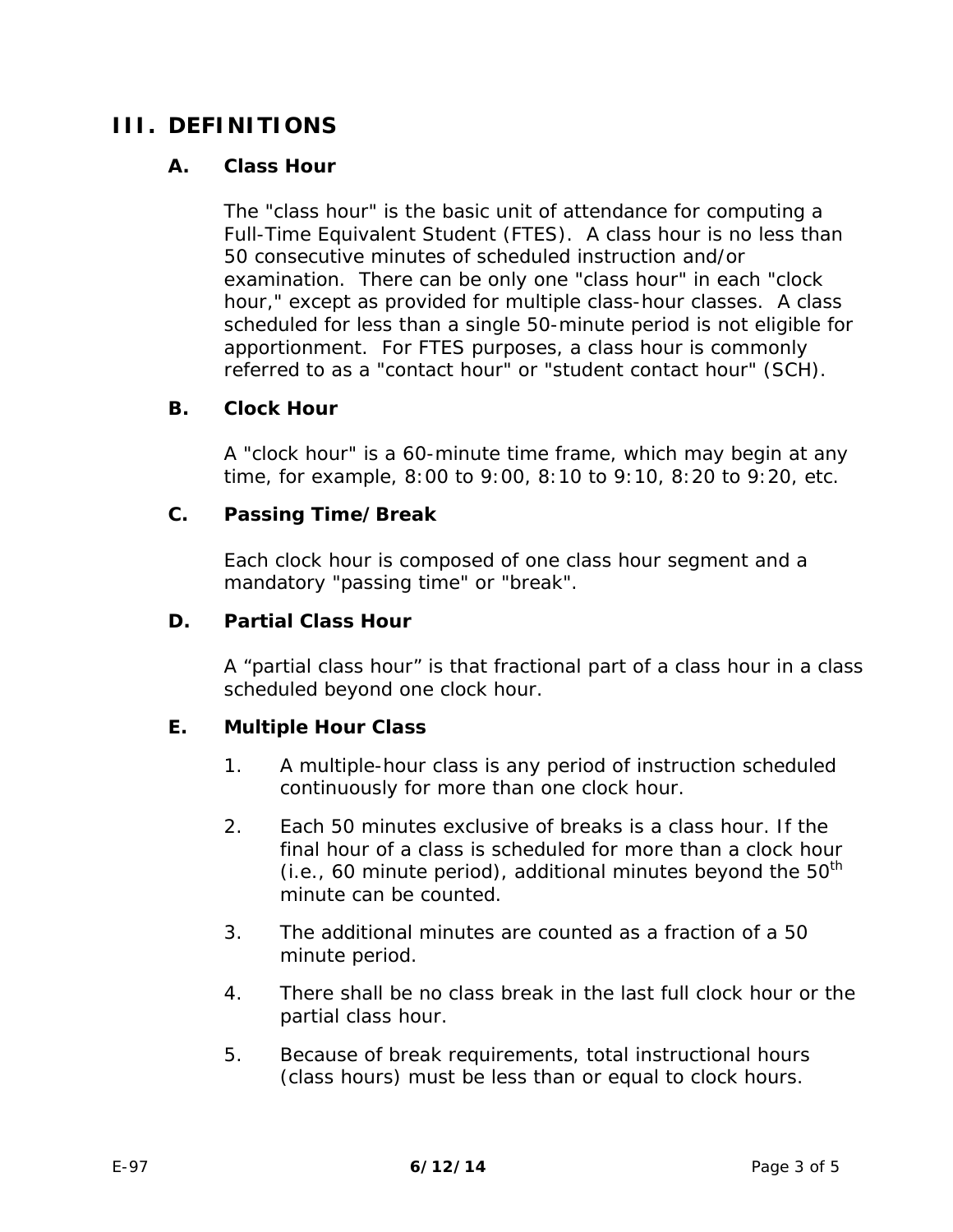# <span id="page-3-0"></span>**III. DEFINITIONS**

### **A. Class Hour**

The "class hour" is the basic unit of attendance for computing a Full-Time Equivalent Student (FTES). A class hour is no less than 50 consecutive minutes of scheduled instruction and/or examination. There can be only one "class hour" in each "clock hour," except as provided for multiple class-hour classes. A class scheduled for less than a single 50-minute period is not eligible for apportionment. For FTES purposes, a class hour is commonly referred to as a "contact hour" or "student contact hour" (SCH).

### **B. Clock Hour**

A "clock hour" is a 60-minute time frame, which may begin at any time, for example, 8:00 to 9:00, 8:10 to 9:10, 8:20 to 9:20, etc.

#### **C. Passing Time/Break**

Each clock hour is composed of one class hour segment and a mandatory "passing time" or "break".

#### **D. Partial Class Hour**

A "partial class hour" is that fractional part of a class hour in a class scheduled *beyond* one clock hour.

### **E. Multiple Hour Class**

- 1. A multiple-hour class is any period of instruction scheduled continuously for more than one clock hour.
- 2. Each 50 minutes exclusive of breaks is a *class hour.* If the final hour of a class is scheduled for more than a clock hour (i.e., 60 minute period), additional minutes beyond the  $50<sup>th</sup>$ minute can be counted.
- 3. The additional minutes are counted as a fraction of a 50 minute period.
- 4. There shall be no class break in the last full clock hour or the partial class hour.
- 5. Because of break requirements, total instructional hours (class hours) must be less than or equal to clock hours.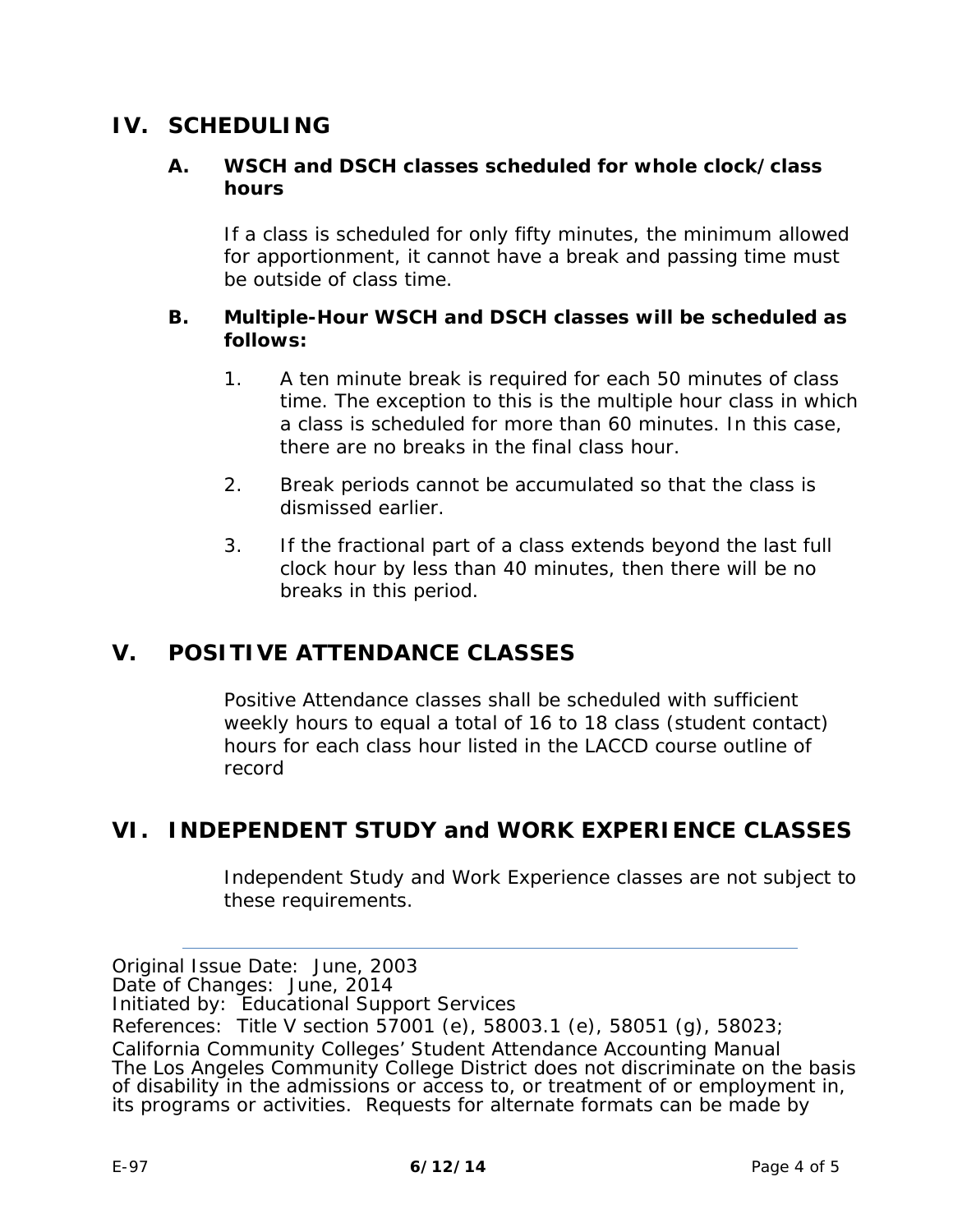# <span id="page-4-0"></span>**IV. SCHEDULING**

### **A. WSCH and DSCH classes scheduled for whole** *clock/class hours*

If a class is scheduled for only fifty minutes, the minimum allowed for apportionment, it cannot have a break and passing time must be outside of class time.

#### **B.** *Multiple-Hour* **WSCH and DSCH classes will be scheduled as follows:**

- 1. A ten minute break is required for each 50 minutes of class time. The exception to this is the multiple hour class in which a class is scheduled for more than 60 minutes. In this case, there are no breaks in the final class hour.
- 2. Break periods cannot be accumulated so that the class is dismissed earlier.
- 3. If the fractional part of a class extends beyond the last full clock hour by less than 40 minutes, then there will be no breaks in this period.

### <span id="page-4-1"></span>**V. POSITIVE ATTENDANCE CLASSES**

Positive Attendance classes shall be scheduled with sufficient weekly hours to equal a total of 16 to 18 *class (student contact) hours* for each *class hour* listed in the LACCD course outline of record

### <span id="page-4-2"></span>**VI. INDEPENDENT STUDY and WORK EXPERIENCE CLASSES**

Independent Study and Work Experience classes are not subject to these requirements.

*Original Issue Date:* June, 2003

*Date of Changes:* June, 2014

*Initiated by:* Educational Support Services

*References:* Title V section 57001 (e), 58003.1 (e), 58051 (g), 58023;

California Community Colleges' *Student Attendance Accounting Manual*  The Los Angeles Community College District does not discriminate on the basis of disability in the admissions or access to, or treatment of or employment in, its programs or activities. Requests for alternate formats can be made by